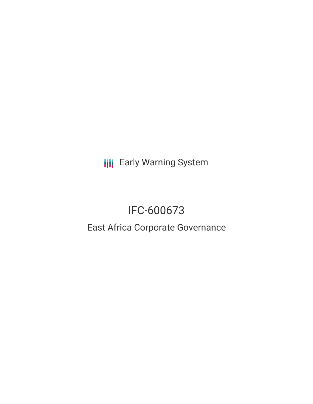**III** Early Warning System

# IFC-600673

## East Africa Corporate Governance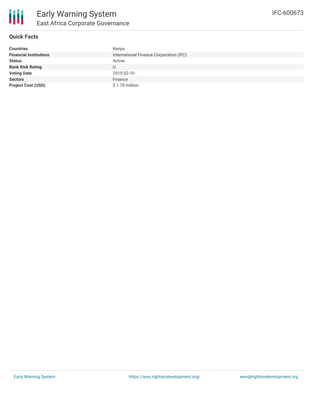

#### **Quick Facts**

| <b>Countries</b>              | Kenya                                   |
|-------------------------------|-----------------------------------------|
| <b>Financial Institutions</b> | International Finance Corporation (IFC) |
| <b>Status</b>                 | Active                                  |
| <b>Bank Risk Rating</b>       | U                                       |
| <b>Voting Date</b>            | 2015-02-10                              |
| <b>Sectors</b>                | Finance                                 |
| <b>Project Cost (USD)</b>     | \$1.79 million                          |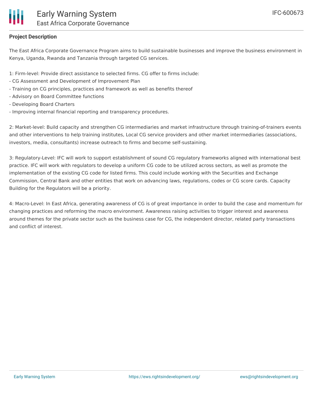### **Project Description**

The East Africa Corporate Governance Program aims to build sustainable businesses and improve the business environment in Kenya, Uganda, Rwanda and Tanzania through targeted CG services.

1: Firm-level: Provide direct assistance to selected firms. CG offer to firms include:

- CG Assessment and Development of Improvement Plan
- Training on CG principles, practices and framework as well as benefits thereof
- Advisory on Board Committee functions
- Developing Board Charters
- Improving internal financial reporting and transparency procedures.

2: Market-level: Build capacity and strengthen CG intermediaries and market infrastructure through training-of-trainers events and other interventions to help training institutes, Local CG service providers and other market intermediaries (associations, investors, media, consultants) increase outreach to firms and become self-sustaining.

3: Regulatory-Level: IFC will work to support establishment of sound CG regulatory frameworks aligned with international best practice. IFC will work with regulators to develop a uniform CG code to be utilized across sectors, as well as promote the implementation of the existing CG code for listed firms. This could include working with the Securities and Exchange Commission, Central Bank and other entities that work on advancing laws, regulations, codes or CG score cards. Capacity Building for the Regulators will be a priority.

4: Macro-Level: In East Africa, generating awareness of CG is of great importance in order to build the case and momentum for changing practices and reforming the macro environment. Awareness raising activities to trigger interest and awareness around themes for the private sector such as the business case for CG, the independent director, related party transactions and conflict of interest.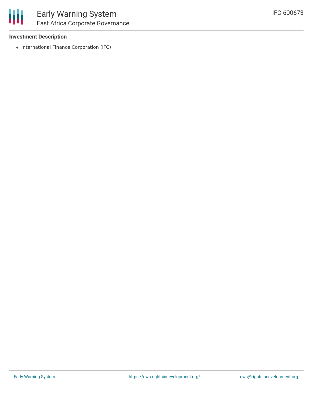

#### **Investment Description**

• International Finance Corporation (IFC)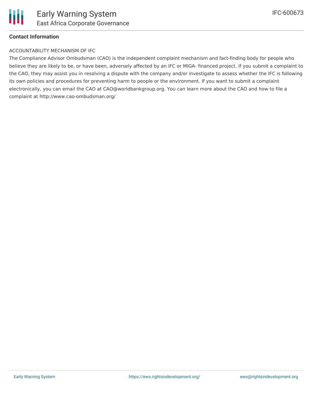

#### **Contact Information**

#### ACCOUNTABILITY MECHANISM OF IFC

The Compliance Advisor Ombudsman (CAO) is the independent complaint mechanism and fact-finding body for people who believe they are likely to be, or have been, adversely affected by an IFC or MIGA- financed project. If you submit a complaint to the CAO, they may assist you in resolving a dispute with the company and/or investigate to assess whether the IFC is following its own policies and procedures for preventing harm to people or the environment. If you want to submit a complaint electronically, you can email the CAO at CAO@worldbankgroup.org. You can learn more about the CAO and how to file a complaint at http://www.cao-ombudsman.org/